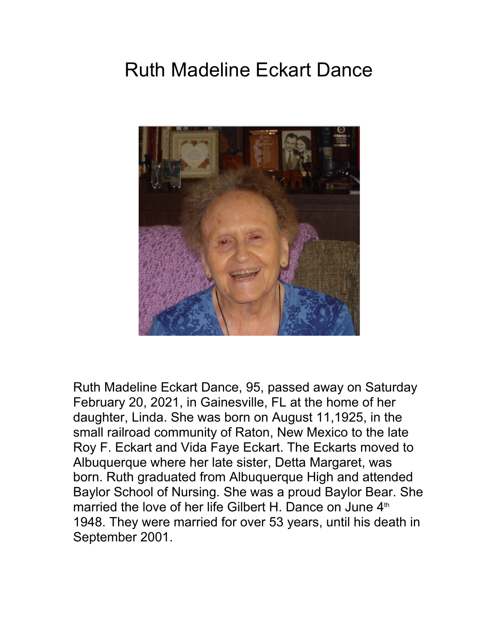## Ruth Madeline Eckart Dance



Ruth Madeline Eckart Dance, 95, passed away on Saturday February 20, 2021, in Gainesville, FL at the home of her daughter, Linda. She was born on August 11,1925, in the small railroad community of Raton, New Mexico to the late Roy F. Eckart and Vida Faye Eckart. The Eckarts moved to Albuquerque where her late sister, Detta Margaret, was born. Ruth graduated from Albuquerque High and attended Baylor School of Nursing. She was a proud Baylor Bear. She married the love of her life Gilbert H. Dance on June 4<sup>th</sup> 1948. They were married for over 53 years, until his death in September 2001.